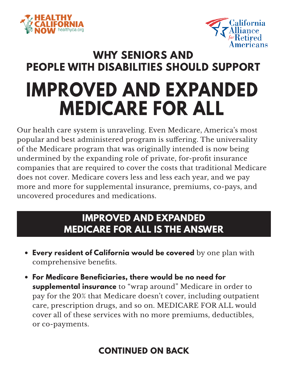



## **IMPROVED AND EXPANDED MEDICARE FOR ALL WHY SENIORS AND PEOPLE WITH DISABILITIES SHOULD SUPPORT**

Our health care system is unraveling. Even Medicare, America's most popular and best administered program is suffering. The universality of the Medicare program that was originally intended is now being undermined by the expanding role of private, for-profit insurance companies that are required to cover the costs that traditional Medicare does not cover. Medicare covers less and less each year, and we pay more and more for supplemental insurance, premiums, co-pays, and uncovered procedures and medications.

## **IMPROVED AND EXPANDED MEDICARE FOR ALL IS THE ANSWER**

- **• Every resident of California would be covered** by one plan with comprehensive benefits.
- **• For Medicare Beneficiaries, there would be no need for supplemental insurance** to "wrap around" Medicare in order to pay for the 20% that Medicare doesn't cover, including outpatient care, prescription drugs, and so on. MEDICARE FOR ALL would cover all of these services with no more premiums, deductibles, or co-payments.

## **CONTINUED ON BACK**